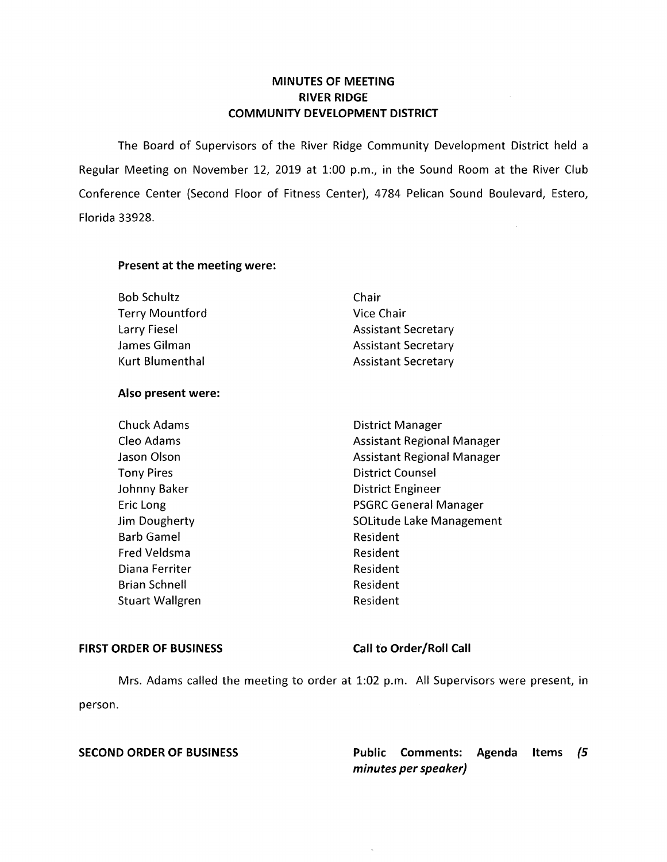# **MINUTES OF MEETING RIVER RIDGE COMMUNITY DEVELOPMENT DISTRICT**

The Board of Supervisors of the River Ridge Community Development District held a Regular Meeting on November 12, 2019 at 1:00 p.m., in the Sound Room at the River Club Conference Center (Second Floor of Fitness Center), 4784 Pelican Sound Boulevard, Estero, Florida 33928.

## **Present at the meeting were:**

| <b>Bob Schultz</b>     | Chair                      |
|------------------------|----------------------------|
| <b>Terry Mountford</b> | Vice Chair                 |
| Larry Fiesel           | <b>Assistant Secretary</b> |
| James Gilman           | <b>Assistant Secretary</b> |
| Kurt Blumenthal        | <b>Assistant Secretary</b> |

## **Also present were:**

Tony Pires **District Counsel** Johnny Baker **District Engineer** Barb Gamel **Resident** Resident Fred Veldsma<br>
Resident Diana Ferriter **Resident** Brian Schnell **Resident** Resident Stuart Wallgren and Resident

Chuck Adams **District Manager** Cleo Adams **Assistant Regional Manager** Assistant Regional Manager Jason Olson **Assistant Regional Manager** Assistant Regional Manager Eric Long **PSGRC General Manager** Jim Dougherty **SOLitude Lake Management** 

## FIRST ORDER OF BUSINESS Call to Order/Roll Call

Mrs. Adams called the meeting to order at 1:02 p.m. All Supervisors were present, in person.

**SECOND ORDER OF BUSINESS Public Comments: Agenda Items (5 minutes per speaker)**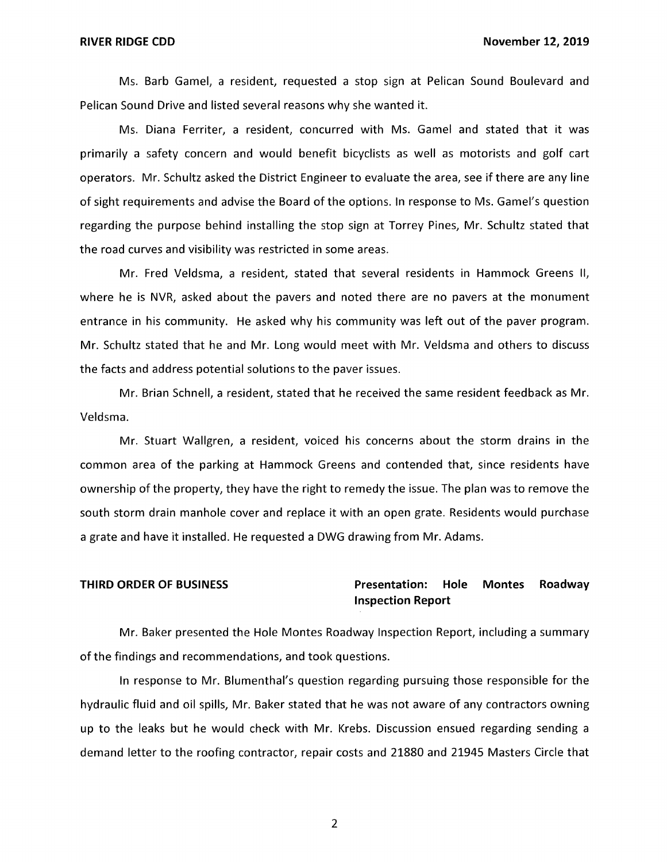Ms. Barb Gamel, a resident, requested a stop sign at Pelican Sound Boulevard and Pelican Sound Drive and listed several reasons why she wanted it.

Ms. Diana Ferriter, a resident, concurred with Ms. Gamel and stated that it was primarily a safety concern and would benefit bicyclists as well as motorists and golf cart operators. Mr. Schultz asked the District Engineer to evaluate the area, see if there are any line of sight requirements and advise the Board of the options. In response to Ms. Gamel's question regarding the purpose behind installing the stop sign at Torrey Pines, Mr. Schultz stated that the road curves and visibility was restricted in some areas.

Mr. Fred Veldsma, a resident, stated that several residents in Hammock Greens II, where he is NVR, asked about the pavers and noted there are no pavers at the monument entrance in his community. He asked why his community was left out of the paver program. Mr. Schultz stated that he and Mr. Long would meet with Mr. Veldsma and others to discuss the facts and address potential solutions to the paver issues.

Mr. Brian Schnell, a resident, stated that he received the same resident feedback as Mr. Veldsma.

Mr. Stuart Wallgren, a resident, voiced his concerns about the storm drains in the common area of the parking at Hammock Greens and contended that, since residents have ownership of the property, they have the right to remedy the issue. The plan was to remove the south storm drain manhole cover and replace it with an open grate. Residents would purchase a grate and have it installed. He requested a DWG drawing from Mr. Adams.

## **THIRD ORDER OF BUSINESS Presentation: Hole Montes Roadway Inspection Report**

Mr. Baker presented the Hole Montes Roadway Inspection Report, including a summary of the findings and recommendations, and took questions.

In response to Mr. Blumenthal's question regarding pursuing those responsible for the hydraulic fluid and oil spills, Mr. Baker stated that he was not aware of any contractors owning up to the leaks but he would check with Mr. Krebs. Discussion ensued regarding sending a demand letter to the roofing contractor, repair costs and 21880 and 21945 Masters Circle that

2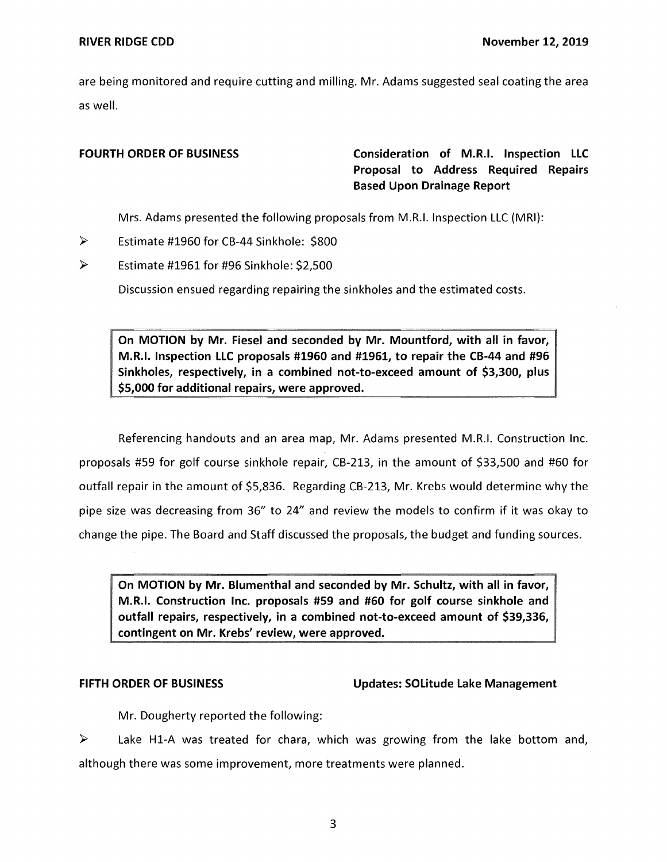are being monitored and require cutting and milling. Mr. Adams suggested seal coating the area as well.

**FOURTH ORDER OF BUSINESS Consideration of M.R.I. Inspection LLC Proposal to Address Required Repairs Based Upon Drainage Report** 

Mrs. Adams presented the following proposals from M.R.I. Inspection LLC (MRI):

- ► Estimate #1960 for CB-44 Sinkhole: \$800
- $\triangleright$  Estimate #1961 for #96 Sinkhole: \$2,500

Discussion ensued regarding repairing the sinkholes and the estimated costs.

**On MOTION by Mr. Fiesel and seconded by Mr. Mountford, with all in favor, M.R.I. Inspection LLC proposals #1960 and #1961, to repair the CB-44 and #96 Sinkholes, respectively, in a combined not-to-exceed amount of \$3,300, plus \$5,000 for additional repairs, were approved.** 

Referencing handouts and an area map, Mr. Adams presented M.R.I. Construction Inc. proposals #59 for golf course sinkhole repair, CB-213, in the amount of \$33,500 and #60 for outfall repair in the amount of \$5,836. Regarding CB-213, Mr. Krebs would determine why the pipe size was decreasing from 36" to 24" and review the models to confirm if it was okay to change the pipe. The Board and Staff discussed the proposals, the budget and funding sources.

**On MOTION by Mr. Blumenthal and seconded by Mr. Schultz, with all in favor, M.R.I. Construction Inc. proposals #59 and #60 for golf course sinkhole and outfall repairs, respectively, in a combined not-to-exceed amount of \$39,336, contingent on Mr. Krebs' review, were approved.** 

## **FIFTH ORDER OF BUSINESS Updates: solitude Lake Management**

Mr. Dougherty reported the following:

 $\triangleright$  Lake H1-A was treated for chara, which was growing from the lake bottom and, although there was some improvement, more treatments were planned.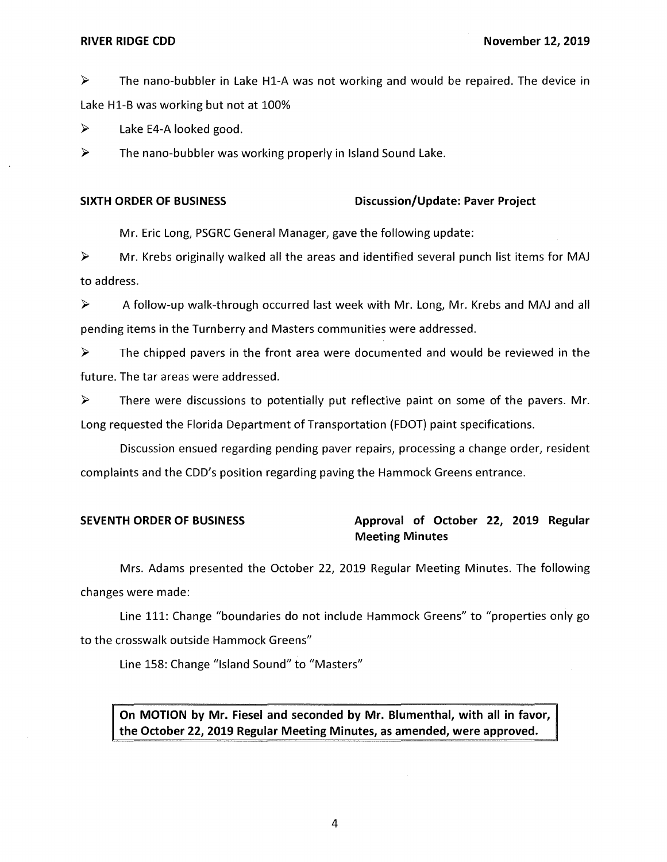► The nano-bubbler in Lake Hl-A was not working and would be repaired. The device in Lake Hl-B was working but not at 100%

 $\triangleright$  Lake E4-A looked good.

 $\triangleright$  The nano-bubbler was working properly in Island Sound Lake.

## **SIXTH ORDER OF BUSINESS Discussion/Update: Paver Project**

Mr. Eric Long, PSGRC General Manager, gave the following update:

 $\triangleright$  Mr. Krebs originally walked all the areas and identified several punch list items for MAJ to address.

 $\triangleright$  A follow-up walk-through occurred last week with Mr. Long, Mr. Krebs and MAJ and all pending items in the Turnberry and Masters communities were addressed.

 $\triangleright$  The chipped pavers in the front area were documented and would be reviewed in the future. The tar areas were addressed.

 $\triangleright$  There were discussions to potentially put reflective paint on some of the pavers. Mr. Long requested the Florida Department of Transportation (FDOT) paint specifications.

Discussion ensued regarding pending paver repairs, processing a change order, resident complaints and the CDD's position regarding paving the Hammock Greens entrance.

# SEVENTH ORDER OF BUSINESS **Approval of October 22, 2019 Regular Meeting Minutes**

Mrs. Adams presented the October 22, 2019 Regular Meeting Minutes. The following changes were made:

Line 111: Change "boundaries do not include Hammock Greens" to "properties only go to the crosswalk outside Hammock Greens"

Line 158: Change "Island Sound" to "Masters"

**On MOTION by Mr. Fiesel and seconded by Mr. Blumenthal, with all in favor, the October 22, 2019 Regular Meeting Minutes, as amended, were approved.**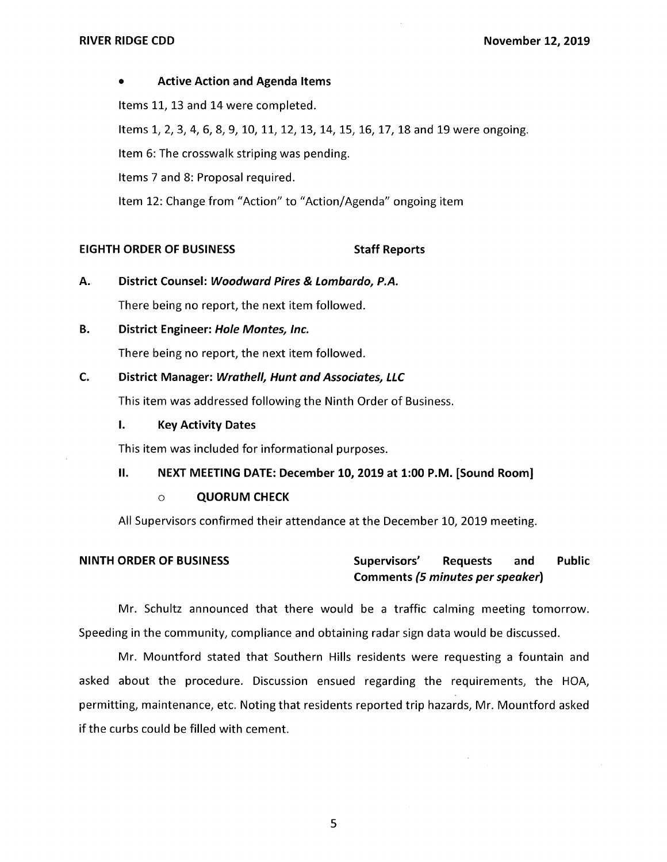## • **Active Action and Agenda Items**

Items 11, 13 and 14 were completed.

Items 1, 2, 3, 4, 6, 8, 9, 10, 11, 12, 13, 14, 15, 16, 17, 18 and 19 were ongoing.

Item 6: The crosswalk striping was pending.

Items 7 and 8: Proposal required.

Item 12: Change from "Action" to "Action/Agenda" ongoing item

# **EIGHTH ORDER OF BUSINESS STATES STAFF REPORTS**

**A. District Counsel: Woodward Pires & Lombardo, P.A.** 

There being no report, the next item followed.

**B. District Engineer: Hole Montes, Inc.** 

There being no report, the next item followed.

## **C. District Manager: Wrathe/1, Hunt and Associates, LLC**

This item was addressed following the Ninth Order of Business.

## **I. Key Activity Dates**

This item was included for informational purposes.

## **II. NEXT MEETING DATE: December 10, 2019 at 1:00 P.M. [Sound Room]**

## o **QUORUM CHECK**

All Supervisors confirmed their attendance at the December 10, 2019 meeting.

# **NINTH ORDER OF BUSINESS Supervisors' Requests and Public Comments (5 minutes per speaker)**

Mr. Schultz announced that there would be a traffic calming meeting tomorrow. Speeding in the community, compliance and obtaining radar sign data would be discussed.

Mr. Mountford stated that Southern Hills residents were requesting a fountain and asked about the procedure. Discussion ensued regarding the requirements, the HOA, permitting, maintenance, etc. Noting that residents reported trip hazards, Mr. Mountford asked if the curbs could be filled with cement.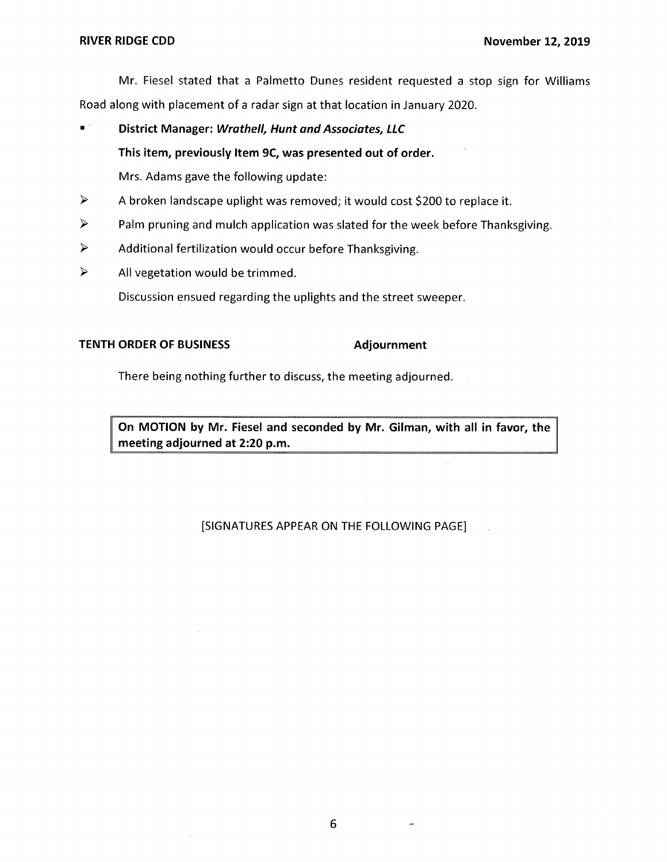Mr. Fiesel stated that a Palmetto Dunes resident requested a stop sign for Williams Road along with placement of a radar sign at that location in January 2020.

■ **District Manager: Wrathe/1, Hunt and Associates, LLC This item, previously Item 9C, was presented out of order.** 

Mrs. Adams gave the following update:

- ► A broken landscape uplight was removed; it would cost \$200 to replace it.
- $\triangleright$  Palm pruning and mulch application was slated for the week before Thanksgiving.
- $\triangleright$  Additional fertilization would occur before Thanksgiving.
- $\triangleright$  All vegetation would be trimmed.

Discussion ensued regarding the uplights and the street sweeper.

## **TENTH ORDER OF BUSINESS Adjournment**

There being nothing further to discuss, the meeting adjourned.

**On MOTION by Mr. Fiesel and seconded by Mr. Gilman, with all in favor, the meeting adjourned at 2:20 p.m.** 

## [SIGNATURES APPEAR ON THE FOLLOWING PAGE]